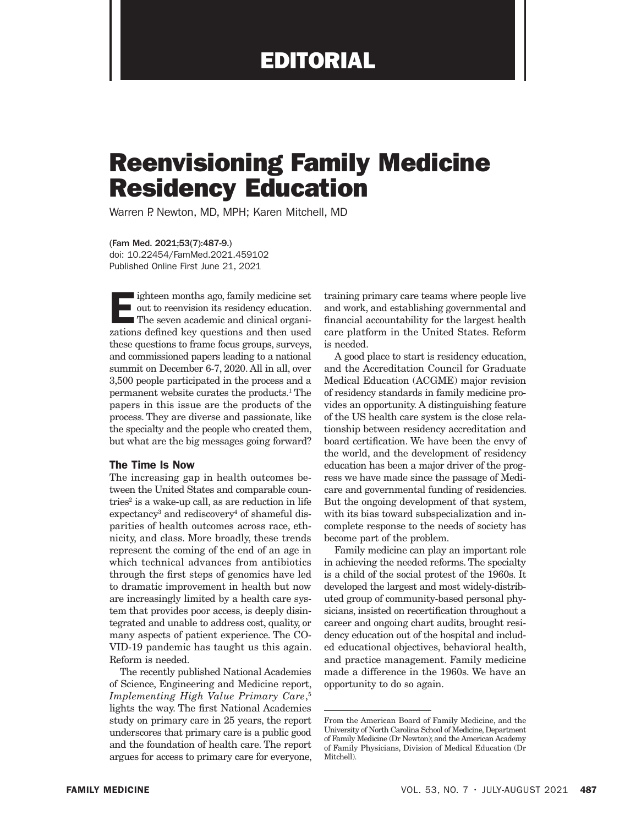# Reenvisioning Family Medicine Residency Education

Warren P. Newton, MD, MPH; Karen Mitchell, MD

(Fam Med. 2021;53(7):487-9.) doi: 10.22454/FamMed.2021.459102 Published Online First June 21, 2021

Eighteen months ago, family medicine set<br>out to reenvision its residency education.<br>The seven academic and clinical organizations defined key questions and then used out to reenvision its residency education. The seven academic and clinical organizations defined key questions and then used these questions to frame focus groups, surveys, and commissioned papers leading to a national summit on December 6-7, 2020. All in all, over 3,500 people participated in the process and a permanent website curates the products.1 The papers in this issue are the products of the process. They are diverse and passionate, like the specialty and the people who created them, but what are the big messages going forward?

## The Time Is Now

The increasing gap in health outcomes between the United States and comparable countries<sup>2</sup> is a wake-up call, as are reduction in life expectancy<sup>3</sup> and rediscovery<sup>4</sup> of shameful disparities of health outcomes across race, ethnicity, and class. More broadly, these trends represent the coming of the end of an age in which technical advances from antibiotics through the first steps of genomics have led to dramatic improvement in health but now are increasingly limited by a health care system that provides poor access, is deeply disintegrated and unable to address cost, quality, or many aspects of patient experience. The CO-VID-19 pandemic has taught us this again. Reform is needed.

The recently published National Academies of Science, Engineering and Medicine report, *Implementing High Value Primary Care*, 5 lights the way. The first National Academies study on primary care in 25 years, the report underscores that primary care is a public good and the foundation of health care. The report argues for access to primary care for everyone, training primary care teams where people live and work, and establishing governmental and financial accountability for the largest health care platform in the United States. Reform is needed.

A good place to start is residency education, and the Accreditation Council for Graduate Medical Education (ACGME) major revision of residency standards in family medicine provides an opportunity. A distinguishing feature of the US health care system is the close relationship between residency accreditation and board certification. We have been the envy of the world, and the development of residency education has been a major driver of the progress we have made since the passage of Medicare and governmental funding of residencies. But the ongoing development of that system, with its bias toward subspecialization and incomplete response to the needs of society has become part of the problem.

Family medicine can play an important role in achieving the needed reforms. The specialty is a child of the social protest of the 1960s. It developed the largest and most widely-distributed group of community-based personal physicians, insisted on recertification throughout a career and ongoing chart audits, brought residency education out of the hospital and included educational objectives, behavioral health, and practice management. Family medicine made a difference in the 1960s. We have an opportunity to do so again.

From the American Board of Family Medicine, and the University of North Carolina School of Medicine, Department of Family Medicine (Dr Newton); and the American Academy of Family Physicians, Division of Medical Education (Dr Mitchell).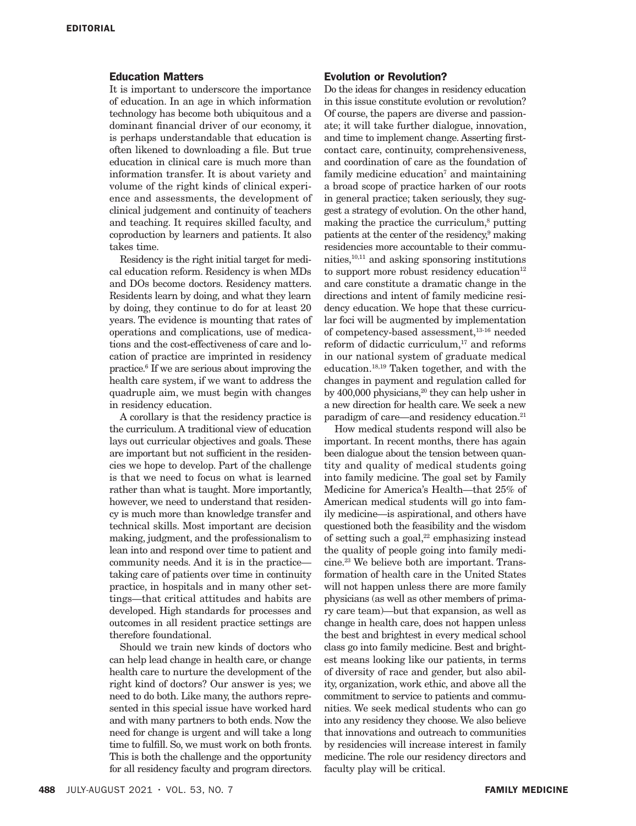## Education Matters

It is important to underscore the importance of education. In an age in which information technology has become both ubiquitous and a dominant financial driver of our economy, it is perhaps understandable that education is often likened to downloading a file. But true education in clinical care is much more than information transfer. It is about variety and volume of the right kinds of clinical experience and assessments, the development of clinical judgement and continuity of teachers and teaching. It requires skilled faculty, and coproduction by learners and patients. It also takes time.

Residency is the right initial target for medical education reform. Residency is when MDs and DOs become doctors. Residency matters. Residents learn by doing, and what they learn by doing, they continue to do for at least 20 years. The evidence is mounting that rates of operations and complications, use of medications and the cost-effectiveness of care and location of practice are imprinted in residency practice.6 If we are serious about improving the health care system, if we want to address the quadruple aim, we must begin with changes in residency education.

A corollary is that the residency practice is the curriculum. A traditional view of education lays out curricular objectives and goals. These are important but not sufficient in the residencies we hope to develop. Part of the challenge is that we need to focus on what is learned rather than what is taught. More importantly, however, we need to understand that residency is much more than knowledge transfer and technical skills. Most important are decision making, judgment, and the professionalism to lean into and respond over time to patient and community needs. And it is in the practice taking care of patients over time in continuity practice, in hospitals and in many other settings—that critical attitudes and habits are developed. High standards for processes and outcomes in all resident practice settings are therefore foundational.

Should we train new kinds of doctors who can help lead change in health care, or change health care to nurture the development of the right kind of doctors? Our answer is yes; we need to do both. Like many, the authors represented in this special issue have worked hard and with many partners to both ends. Now the need for change is urgent and will take a long time to fulfill. So, we must work on both fronts. This is both the challenge and the opportunity for all residency faculty and program directors.

#### Evolution or Revolution?

Do the ideas for changes in residency education in this issue constitute evolution or revolution? Of course, the papers are diverse and passionate; it will take further dialogue, innovation, and time to implement change. Asserting firstcontact care, continuity, comprehensiveness, and coordination of care as the foundation of family medicine education<sup>7</sup> and maintaining a broad scope of practice harken of our roots in general practice; taken seriously, they suggest a strategy of evolution. On the other hand, making the practice the curriculum,<sup>8</sup> putting patients at the center of the residency,<sup>9</sup> making residencies more accountable to their communities,10,11 and asking sponsoring institutions to support more robust residency education $12$ and care constitute a dramatic change in the directions and intent of family medicine residency education. We hope that these curricular foci will be augmented by implementation of competency-based assessment,  $^{13\text{-}16}$  needed reform of didactic curriculum, $17$  and reforms in our national system of graduate medical education.18,19 Taken together, and with the changes in payment and regulation called for by 400,000 physicians,<sup>20</sup> they can help usher in a new direction for health care. We seek a new paradigm of care—and residency education.<sup>21</sup>

How medical students respond will also be important. In recent months, there has again been dialogue about the tension between quantity and quality of medical students going into family medicine. The goal set by Family Medicine for America's Health—that 25% of American medical students will go into family medicine—is aspirational, and others have questioned both the feasibility and the wisdom of setting such a goal, $22$  emphasizing instead the quality of people going into family medicine.23 We believe both are important. Transformation of health care in the United States will not happen unless there are more family physicians (as well as other members of primary care team)—but that expansion, as well as change in health care, does not happen unless the best and brightest in every medical school class go into family medicine. Best and brightest means looking like our patients, in terms of diversity of race and gender, but also ability, organization, work ethic, and above all the commitment to service to patients and communities. We seek medical students who can go into any residency they choose. We also believe that innovations and outreach to communities by residencies will increase interest in family medicine. The role our residency directors and faculty play will be critical.